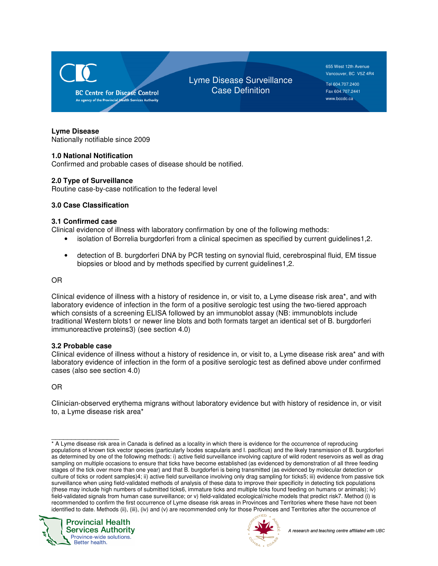**BC Centre for Disease Control** An agency of the Provincial Health Services Authority

Lyme Disease Surveillance Case Definition

655 West 12th Avenue Vancouver, BC V5Z 4R4

Tel 604.707.2400 Fax 604.707.2441 www.bccdc.ca

## **Lyme Disease**

Nationally notifiable since 2009

# **1.0 National Notification**

Confirmed and probable cases of disease should be notified.

# **2.0 Type of Surveillance**

Routine case-by-case notification to the federal level

# **3.0 Case Classification**

## **3.1 Confirmed case**

Clinical evidence of illness with laboratory confirmation by one of the following methods:

- isolation of Borrelia burgdorferi from a clinical specimen as specified by current quidelines1,2.
- detection of B. burgdorferi DNA by PCR testing on synovial fluid, cerebrospinal fluid, EM tissue biopsies or blood and by methods specified by current guidelines1,2.

OR

Clinical evidence of illness with a history of residence in, or visit to, a Lyme disease risk area\*, and with laboratory evidence of infection in the form of a positive serologic test using the two-tiered approach which consists of a screening ELISA followed by an immunoblot assay (NB: immunoblots include traditional Western blots1 or newer line blots and both formats target an identical set of B. burgdorferi immunoreactive proteins3) (see section 4.0)

# **3.2 Probable case**

Clinical evidence of illness without a history of residence in, or visit to, a Lyme disease risk area\* and with laboratory evidence of infection in the form of a positive serologic test as defined above under confirmed cases (also see section 4.0)

# OR

Clinician-observed erythema migrans without laboratory evidence but with history of residence in, or visit to, a Lyme disease risk area\*

\_\_\_\_\_\_\_\_\_\_\_\_\_\_\_\_\_ \* A Lyme disease risk area in Canada is defined as a locality in which there is evidence for the occurrence of reproducing populations of known tick vector species (particularly Ixodes scapularis and I. pacificus) and the likely transmission of B. burgdorferi as determined by one of the following methods: i) active field surveillance involving capture of wild rodent reservoirs as well as drag sampling on multiple occasions to ensure that ticks have become established (as evidenced by demonstration of all three feeding stages of the tick over more than one year) and that B. burgdorferi is being transmitted (as evidenced by molecular detection or culture of ticks or rodent samples)4; ii) active field surveillance involving only drag sampling for ticks5; iii) evidence from passive tick surveillance when using field-validated methods of analysis of these data to improve their specificity in detecting tick populations (these may include high numbers of submitted ticks6, immature ticks and multiple ticks found feeding on humans or animals); iv) field-validated signals from human case surveillance; or v) field-validated ecological/niche models that predict risk7. Method (i) is recommended to confirm the first occurrence of Lyme disease risk areas in Provinces and Territories where these have not been identified to date. Methods (ii), (iii), (iv) and (v) are recommended only for those Provinces and Territories after the occurrence of



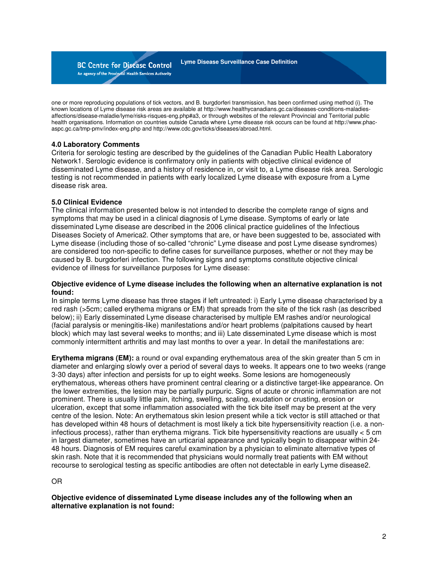**Lyme Disease Surveillance Case Definition** 

one or more reproducing populations of tick vectors, and B. burgdorferi transmission, has been confirmed using method (i). The known locations of Lyme disease risk areas are available at http://www.healthycanadians.gc.ca/diseases-conditions-maladiesaffections/disease-maladie/lyme/risks-risques-eng.php#a3, or through websites of the relevant Provincial and Territorial public health organisations. Information on countries outside Canada where Lyme disease risk occurs can be found at http://www.phacaspc.gc.ca/tmp-pmv/index-eng.php and http://www.cdc.gov/ticks/diseases/abroad.html.

## **4.0 Laboratory Comments**

**BC Centre for Disease Control** An agency of the Provincial Health Services Authority

Criteria for serologic testing are described by the guidelines of the Canadian Public Health Laboratory Network1. Serologic evidence is confirmatory only in patients with objective clinical evidence of disseminated Lyme disease, and a history of residence in, or visit to, a Lyme disease risk area. Serologic testing is not recommended in patients with early localized Lyme disease with exposure from a Lyme disease risk area.

## **5.0 Clinical Evidence**

The clinical information presented below is not intended to describe the complete range of signs and symptoms that may be used in a clinical diagnosis of Lyme disease. Symptoms of early or late disseminated Lyme disease are described in the 2006 clinical practice guidelines of the Infectious Diseases Society of America2. Other symptoms that are, or have been suggested to be, associated with Lyme disease (including those of so-called "chronic" Lyme disease and post Lyme disease syndromes) are considered too non-specific to define cases for surveillance purposes, whether or not they may be caused by B. burgdorferi infection. The following signs and symptoms constitute objective clinical evidence of illness for surveillance purposes for Lyme disease:

#### **Objective evidence of Lyme disease includes the following when an alternative explanation is not found:**

In simple terms Lyme disease has three stages if left untreated: i) Early Lyme disease characterised by a red rash (>5cm; called erythema migrans or EM) that spreads from the site of the tick rash (as described below); ii) Early disseminated Lyme disease characterised by multiple EM rashes and/or neurological (facial paralysis or meningitis-like) manifestations and/or heart problems (palpitations caused by heart block) which may last several weeks to months; and iii) Late disseminated Lyme disease which is most commonly intermittent arthritis and may last months to over a year. In detail the manifestations are:

**Erythema migrans (EM):** a round or oval expanding erythematous area of the skin greater than 5 cm in diameter and enlarging slowly over a period of several days to weeks. It appears one to two weeks (range 3-30 days) after infection and persists for up to eight weeks. Some lesions are homogeneously erythematous, whereas others have prominent central clearing or a distinctive target-like appearance. On the lower extremities, the lesion may be partially purpuric. Signs of acute or chronic inflammation are not prominent. There is usually little pain, itching, swelling, scaling, exudation or crusting, erosion or ulceration, except that some inflammation associated with the tick bite itself may be present at the very centre of the lesion. Note: An erythematous skin lesion present while a tick vector is still attached or that has developed within 48 hours of detachment is most likely a tick bite hypersensitivity reaction (i.e. a noninfectious process), rather than erythema migrans. Tick bite hypersensitivity reactions are usually < 5 cm in largest diameter, sometimes have an urticarial appearance and typically begin to disappear within 24- 48 hours. Diagnosis of EM requires careful examination by a physician to eliminate alternative types of skin rash. Note that it is recommended that physicians would normally treat patients with EM without recourse to serological testing as specific antibodies are often not detectable in early Lyme disease2.

#### OR

**Objective evidence of disseminated Lyme disease includes any of the following when an alternative explanation is not found:**